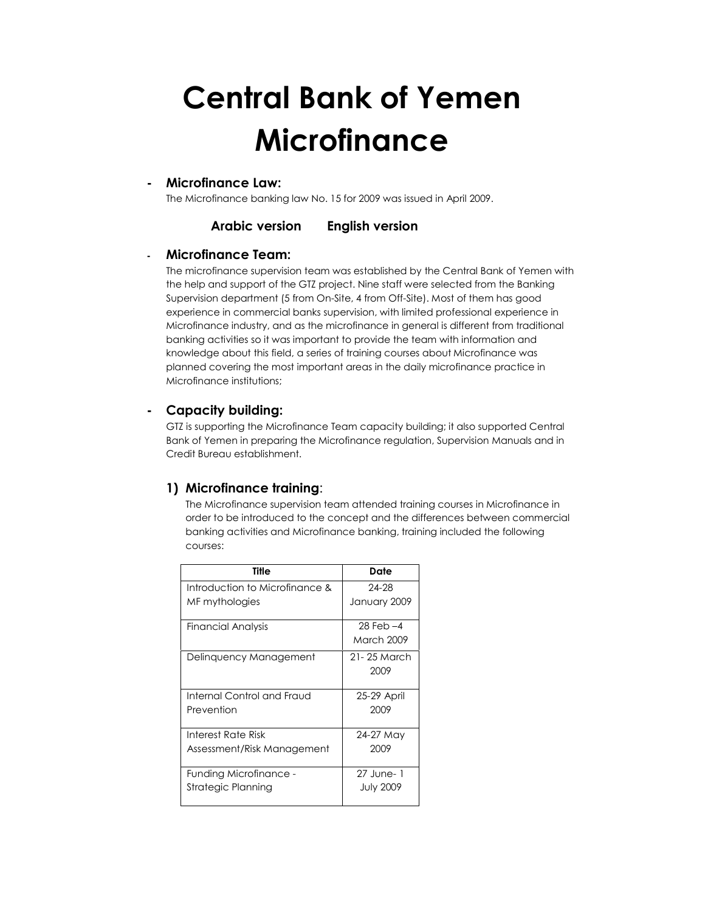# **Central Bank of Yemen Microfinance**

### **- Microfinance Law:**

The Microfinance banking law No. 15 for 2009 was issued in April 2009.

#### **Arabic version English version**

### **- Microfinance Team:**

The microfinance supervision team was established by the Central Bank of Yemen with the help and support of the GTZ project. Nine staff were selected from the Banking Supervision department (5 from On-Site, 4 from Off-Site). Most of them has good experience in commercial banks supervision, with limited professional experience in Microfinance industry, and as the microfinance in general is different from traditional banking activities so it was important to provide the team with information and knowledge about this field, a series of training courses about Microfinance was planned covering the most important areas in the daily microfinance practice in Microfinance institutions;

## **- Capacity building:**

GTZ is supporting the Microfinance Team capacity building; it also supported Central Bank of Yemen in preparing the Microfinance regulation, Supervision Manuals and in Credit Bureau establishment.

# **1) Microfinance training**:

The Microfinance supervision team attended training courses in Microfinance in order to be introduced to the concept and the differences between commercial banking activities and Microfinance banking, training included the following courses:

| <b>Title</b>                   | Date             |
|--------------------------------|------------------|
| Introduction to Microfinance & | 24-28            |
| MF mythologies                 | January 2009     |
| Financial Analysis             | 28 Feb -4        |
|                                | March 2009       |
| Delinguency Management         | 21-25 March      |
|                                | 2009             |
| Internal Control and Fraud     | 25-29 April      |
| Prevention                     | 2009             |
| Interest Rate Risk             | 24-27 May        |
| Assessment/Risk Management     | 2009             |
| Funding Microfinance -         | 27 June-1        |
| Strategic Planning             | <b>July 2009</b> |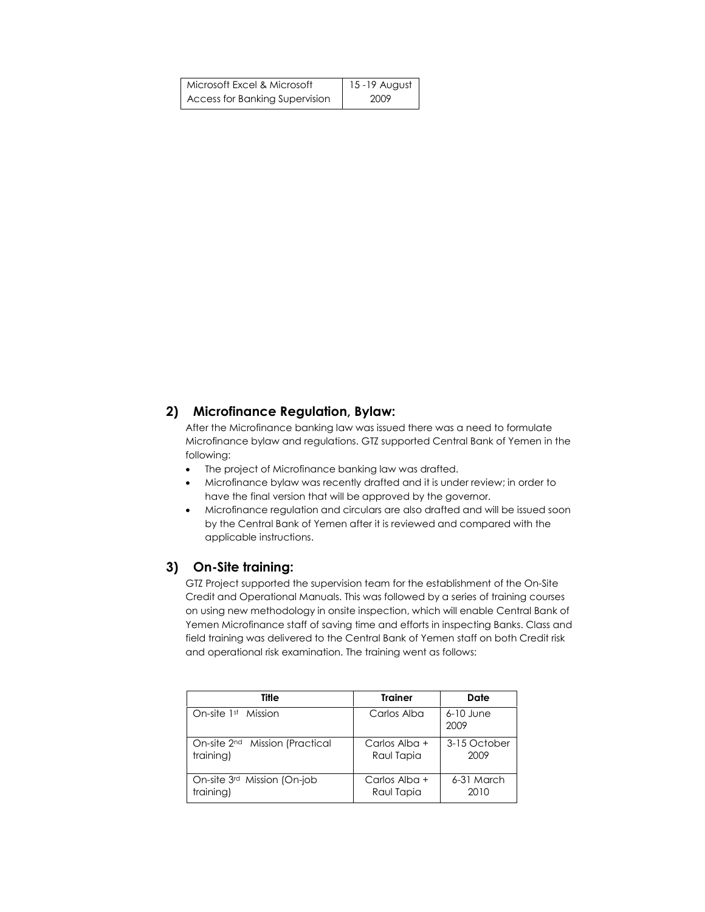| Microsoft Excel & Microsoft           | 15-19 August |
|---------------------------------------|--------------|
| <b>Access for Banking Supervision</b> | 2009         |

## **2) Microfinance Regulation, Bylaw:**

After the Microfinance banking law was issued there was a need to formulate Microfinance bylaw and regulations. GTZ supported Central Bank of Yemen in the following:

- The project of Microfinance banking law was drafted.
- Microfinance bylaw was recently drafted and it is under review; in order to have the final version that will be approved by the governor.
- Microfinance regulation and circulars are also drafted and will be issued soon by the Central Bank of Yemen after it is reviewed and compared with the applicable instructions.

## **3) On-Site training:**

GTZ Project supported the supervision team for the establishment of the On-Site Credit and Operational Manuals. This was followed by a series of training courses on using new methodology in onsite inspection, which will enable Central Bank of Yemen Microfinance staff of saving time and efforts in inspecting Banks. Class and field training was delivered to the Central Bank of Yemen staff on both Credit risk and operational risk examination. The training went as follows:

| Tille                                      | <b>Trainer</b> | Date                |
|--------------------------------------------|----------------|---------------------|
| On-site 1 <sup>st</sup> Mission            | Carlos Alba    | $6-10$ June<br>2009 |
| On-site 2 <sup>nd</sup> Mission (Practical | Carlos Alba +  | 3-15 October        |
| training)                                  | Raul Tapia     | 2009                |
| On-site 3rd Mission (On-job                | Carlos Alba +  | 6-31 March          |
| training)                                  | Raul Tapia     | 2010                |